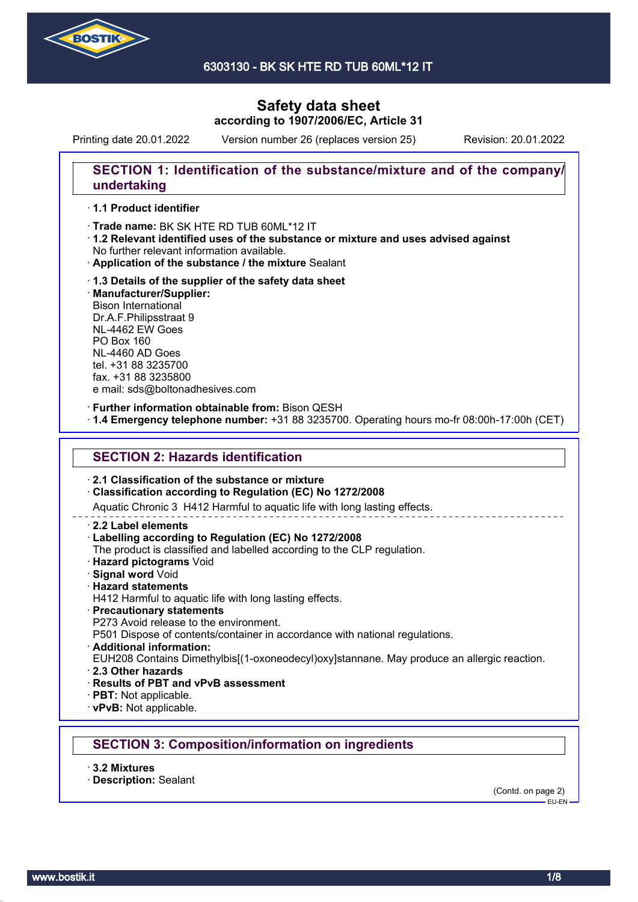

6303130 - BK SK HTE RD TUB 60ML\*12 IT

# **Safety data sheet according to 1907/2006/EC, Article 31**

Printing date 20.01.2022 Version number 26 (replaces version 25) Revision: 20.01.2022

# **SECTION 1: Identification of the substance/mixture and of the company/ undertaking**

## · **1.1 Product identifier**

· Trade name: BK SK HTE RD TUB 60ML\*12 IT

- · **1.2 Relevant identified uses of the substance or mixture and uses advised against** No further relevant information available.
- · **Application of the substance / the mixture** Sealant
- · **1.3 Details of the supplier of the safety data sheet** · **Manufacturer/Supplier:** Bison International Dr.A.F.Philipsstraat 9 NL-4462 EW Goes PO Box 160 NL-4460 AD Goes tel. +31 88 3235700 fax. +31 88 3235800 e mail: sds@boltonadhesives.com

#### · **Further information obtainable from:** Bison QESH

· **1.4 Emergency telephone number:** +31 88 3235700. Operating hours mo-fr 08:00h-17:00h (CET)

## **SECTION 2: Hazards identification**

#### · **2.1 Classification of the substance or mixture**

#### · **Classification according to Regulation (EC) No 1272/2008**

Aquatic Chronic 3 H412 Harmful to aquatic life with long lasting effects.

#### · **2.2 Label elements**

#### · **Labelling according to Regulation (EC) No 1272/2008**

The product is classified and labelled according to the CLP regulation.

- · **Hazard pictograms** Void
- · **Signal word** Void
- · **Hazard statements**
- H412 Harmful to aquatic life with long lasting effects.
- · **Precautionary statements**
- P273 Avoid release to the environment.

P501 Dispose of contents/container in accordance with national regulations.

· **Additional information:**

EUH208 Contains Dimethylbis[(1-oxoneodecyl)oxy]stannane. May produce an allergic reaction.

- · **2.3 Other hazards**
- · **Results of PBT and vPvB assessment**
- · **PBT:** Not applicable.
- · **vPvB:** Not applicable.

## **SECTION 3: Composition/information on ingredients**

- · **3.2 Mixtures**
- · **Description:** Sealant

(Contd. on page 2)  $-$ EU-EN-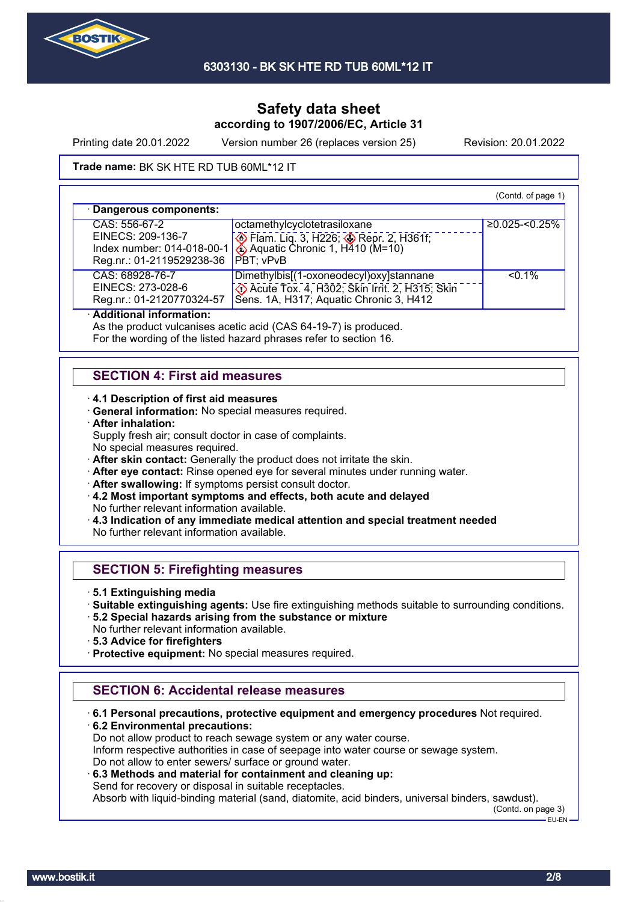

Printing date 20.01.2022 Version number 26 (replaces version 25) Revision: 20.01.2022

#### **Trade name: BK SK HTE RD TUB 60ML\*12 IT**

(Contd. of page 1) · **Dangerous components:** CAS: 556-67-2 EINECS: 209-136-7 Index number: 014-018-00-1 Reg.nr.: 01-2119529238-36 octamethylcyclotetrasiloxane **B** Flam. Liq. 3, H226; **B** Repr. 2, H361f; Aquatic Chronic 1,  $H<sup>410</sup>$  (M=10) PBT; vPvB ≥0.025-<0.25% CAS: 68928-76-7 EINECS: 273-028-6 Reg.nr.: 01-2120770324-57 Dimethylbis[(1-oxoneodecyl)oxy]stannane Acute Tox. 4, H302; Skin Irrit. 2, H315; Skin Sens. 1A, H317; Aquatic Chronic 3, H412  $50.1%$ 

## · **Additional information:**

As the product vulcanises acetic acid (CAS 64-19-7) is produced.

For the wording of the listed hazard phrases refer to section 16.

# **SECTION 4: First aid measures**

#### · **4.1 Description of first aid measures**

· **General information:** No special measures required.

· **After inhalation:**

Supply fresh air; consult doctor in case of complaints.

No special measures required.

· **After skin contact:** Generally the product does not irritate the skin.

- · **After eye contact:** Rinse opened eye for several minutes under running water.
- · **After swallowing:** If symptoms persist consult doctor.
- · **4.2 Most important symptoms and effects, both acute and delayed** No further relevant information available.
- · **4.3 Indication of any immediate medical attention and special treatment needed** No further relevant information available.

# **SECTION 5: Firefighting measures**

- · **5.1 Extinguishing media**
- · **Suitable extinguishing agents:** Use fire extinguishing methods suitable to surrounding conditions.
- · **5.2 Special hazards arising from the substance or mixture** No further relevant information available.
- · **5.3 Advice for firefighters**
- · **Protective equipment:** No special measures required.

# **SECTION 6: Accidental release measures**

· **6.1 Personal precautions, protective equipment and emergency procedures** Not required. · **6.2 Environmental precautions:**

Do not allow product to reach sewage system or any water course. Inform respective authorities in case of seepage into water course or sewage system. Do not allow to enter sewers/ surface or ground water.

· **6.3 Methods and material for containment and cleaning up:**

Send for recovery or disposal in suitable receptacles.

Absorb with liquid-binding material (sand, diatomite, acid binders, universal binders, sawdust).

(Contd. on page 3)  $-$ FU-FN-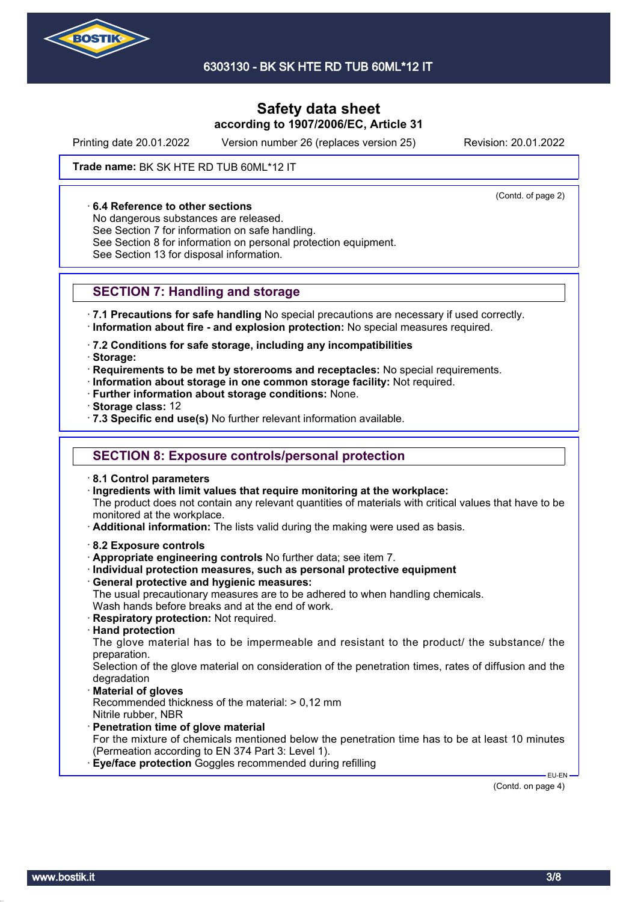

Printing date 20.01.2022 Version number 26 (replaces version 25) Revision: 20.01.2022

(Contd. of page 2)

#### **Trade name: BK SK HTE RD TUB 60ML\*12 IT**

#### · **6.4 Reference to other sections**

No dangerous substances are released.

See Section 7 for information on safe handling.

See Section 8 for information on personal protection equipment.

See Section 13 for disposal information.

## **SECTION 7: Handling and storage**

· **7.1 Precautions for safe handling** No special precautions are necessary if used correctly. · **Information about fire - and explosion protection:** No special measures required.

· **7.2 Conditions for safe storage, including any incompatibilities**

- · **Storage:**
- · **Requirements to be met by storerooms and receptacles:** No special requirements.
- · **Information about storage in one common storage facility:** Not required.
- · **Further information about storage conditions:** None.
- · **Storage class:** 12
- · **7.3 Specific end use(s)** No further relevant information available.

## **SECTION 8: Exposure controls/personal protection**

- · **8.1 Control parameters**
- · **Ingredients with limit values that require monitoring at the workplace:**

The product does not contain any relevant quantities of materials with critical values that have to be monitored at the workplace.

- · **Additional information:** The lists valid during the making were used as basis.
- · **8.2 Exposure controls**
- · **Appropriate engineering controls** No further data; see item 7.
- · **Individual protection measures, such as personal protective equipment**
- · **General protective and hygienic measures:**

The usual precautionary measures are to be adhered to when handling chemicals. Wash hands before breaks and at the end of work.

- · **Respiratory protection:** Not required.
- · **Hand protection**

The glove material has to be impermeable and resistant to the product/ the substance/ the preparation.

Selection of the glove material on consideration of the penetration times, rates of diffusion and the degradation

· **Material of gloves**

Recommended thickness of the material: > 0,12 mm

- Nitrile rubber, NBR
- · **Penetration time of glove material**

For the mixture of chemicals mentioned below the penetration time has to be at least 10 minutes (Permeation according to EN 374 Part 3: Level 1).

**Eye/face protection** Goggles recommended during refilling

 EU-EN (Contd. on page 4)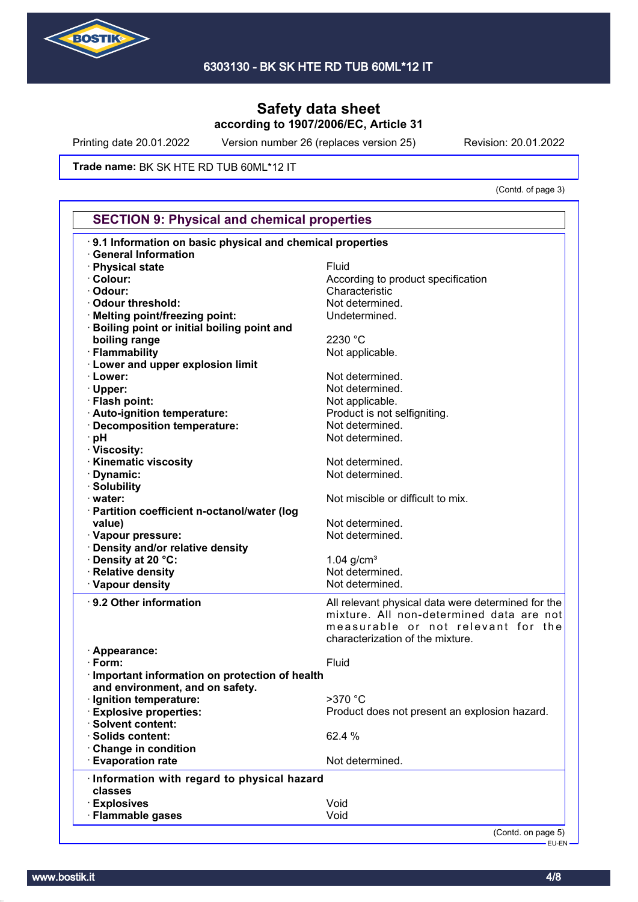

Printing date 20.01.2022 Version number 26 (replaces version 25) Revision: 20.01.2022

**Trade name: BK SK HTE RD TUB 60ML\*12 IT** 

(Contd. of page 3)

| <b>SECTION 9: Physical and chemical properties</b><br>9.1 Information on basic physical and chemical properties |                                                    |  |
|-----------------------------------------------------------------------------------------------------------------|----------------------------------------------------|--|
|                                                                                                                 |                                                    |  |
| · Physical state                                                                                                | Fluid                                              |  |
| · Colour:                                                                                                       | According to product specification                 |  |
| · Odour:                                                                                                        | Characteristic                                     |  |
| · Odour threshold:                                                                                              | Not determined.                                    |  |
| · Melting point/freezing point:                                                                                 | Undetermined.                                      |  |
| <b>Boiling point or initial boiling point and</b>                                                               |                                                    |  |
| boiling range                                                                                                   | 2230 °C                                            |  |
| · Flammability                                                                                                  | Not applicable.                                    |  |
| · Lower and upper explosion limit                                                                               |                                                    |  |
| · Lower:                                                                                                        | Not determined.                                    |  |
| · Upper:                                                                                                        | Not determined.                                    |  |
| · Flash point:                                                                                                  | Not applicable.                                    |  |
| · Auto-ignition temperature:                                                                                    | Product is not selfigniting.                       |  |
| · Decomposition temperature:                                                                                    | Not determined.                                    |  |
| ∙ pH                                                                                                            | Not determined.                                    |  |
| · Viscosity:                                                                                                    |                                                    |  |
| · Kinematic viscosity                                                                                           | Not determined.                                    |  |
|                                                                                                                 | Not determined.                                    |  |
| · Dynamic:                                                                                                      |                                                    |  |
| · Solubility                                                                                                    |                                                    |  |
| · water:                                                                                                        | Not miscible or difficult to mix.                  |  |
| · Partition coefficient n-octanol/water (log                                                                    |                                                    |  |
| value)                                                                                                          | Not determined.                                    |  |
| · Vapour pressure:                                                                                              | Not determined.                                    |  |
| · Density and/or relative density                                                                               |                                                    |  |
| Density at 20 °C:                                                                                               | 1.04 $g/cm3$                                       |  |
| · Relative density                                                                                              | Not determined.                                    |  |
| · Vapour density                                                                                                | Not determined.                                    |  |
| · 9.2 Other information                                                                                         | All relevant physical data were determined for the |  |
|                                                                                                                 | mixture. All non-determined data are not           |  |
|                                                                                                                 | measurable or not relevant for the                 |  |
|                                                                                                                 | characterization of the mixture.                   |  |
|                                                                                                                 |                                                    |  |
|                                                                                                                 |                                                    |  |
| · Appearance:<br>$\cdot$ Form:                                                                                  |                                                    |  |
|                                                                                                                 | Fluid                                              |  |
| · Important information on protection of health                                                                 |                                                    |  |
| and environment, and on safety.                                                                                 |                                                    |  |
| · Ignition temperature:                                                                                         | >370 °C                                            |  |
| <b>Explosive properties:</b>                                                                                    | Product does not present an explosion hazard.      |  |
| · Solvent content:                                                                                              |                                                    |  |
| · Solids content:                                                                                               | 62.4 %                                             |  |
| Change in condition                                                                                             |                                                    |  |
| <b>Evaporation rate</b>                                                                                         | Not determined.                                    |  |
| Information with regard to physical hazard                                                                      |                                                    |  |
| classes                                                                                                         |                                                    |  |
| <b>Explosives</b><br>· Flammable gases                                                                          | Void<br>Void                                       |  |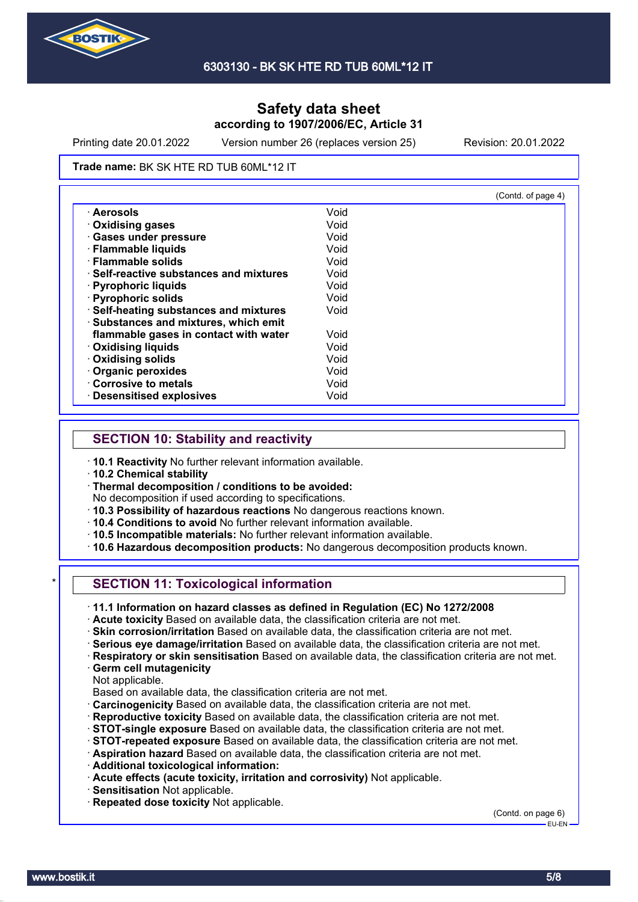

Printing date 20.01.2022 Version number 26 (replaces version 25) Revision: 20.01.2022

#### **Trade name: BK SK HTE RD TUB 60ML\*12 IT**

|                                              |      | (Contd. of page 4) |
|----------------------------------------------|------|--------------------|
| · Aerosols                                   | Void |                    |
| <b>Oxidising gases</b>                       | Void |                    |
| · Gases under pressure                       | Void |                    |
| · Flammable liquids                          | Void |                    |
| · Flammable solids                           | Void |                    |
| <b>Self-reactive substances and mixtures</b> | Void |                    |
| · Pyrophoric liquids                         | Void |                    |
| · Pyrophoric solids                          | Void |                    |
| · Self-heating substances and mixtures       | Void |                    |
| · Substances and mixtures, which emit        |      |                    |
| flammable gases in contact with water        | Void |                    |
| <b>Oxidising liquids</b>                     | Void |                    |
| · Oxidising solids                           | Void |                    |
| · Organic peroxides                          | Void |                    |
| Corrosive to metals                          | Void |                    |
| <b>Desensitised explosives</b>               | Void |                    |

## **SECTION 10: Stability and reactivity**

- · **10.1 Reactivity** No further relevant information available.
- · **10.2 Chemical stability**
- · **Thermal decomposition / conditions to be avoided:**
- No decomposition if used according to specifications.
- · **10.3 Possibility of hazardous reactions** No dangerous reactions known.
- · **10.4 Conditions to avoid** No further relevant information available.
- · **10.5 Incompatible materials:** No further relevant information available.
- · **10.6 Hazardous decomposition products:** No dangerous decomposition products known.

# **SECTION 11: Toxicological information**

· **11.1 Information on hazard classes as defined in Regulation (EC) No 1272/2008**

· **Acute toxicity** Based on available data, the classification criteria are not met.

- · **Skin corrosion/irritation** Based on available data, the classification criteria are not met.
- · **Serious eye damage/irritation** Based on available data, the classification criteria are not met.
- · **Respiratory or skin sensitisation** Based on available data, the classification criteria are not met.
- · **Germ cell mutagenicity**

Not applicable.

- Based on available data, the classification criteria are not met.
- · **Carcinogenicity** Based on available data, the classification criteria are not met.
- · **Reproductive toxicity** Based on available data, the classification criteria are not met.
- · **STOT-single exposure** Based on available data, the classification criteria are not met.
- · **STOT-repeated exposure** Based on available data, the classification criteria are not met.
- · **Aspiration hazard** Based on available data, the classification criteria are not met.
- · **Additional toxicological information:**
- · **Acute effects (acute toxicity, irritation and corrosivity)** Not applicable.
- · **Sensitisation** Not applicable.
- · **Repeated dose toxicity** Not applicable.

(Contd. on page 6) EU-EN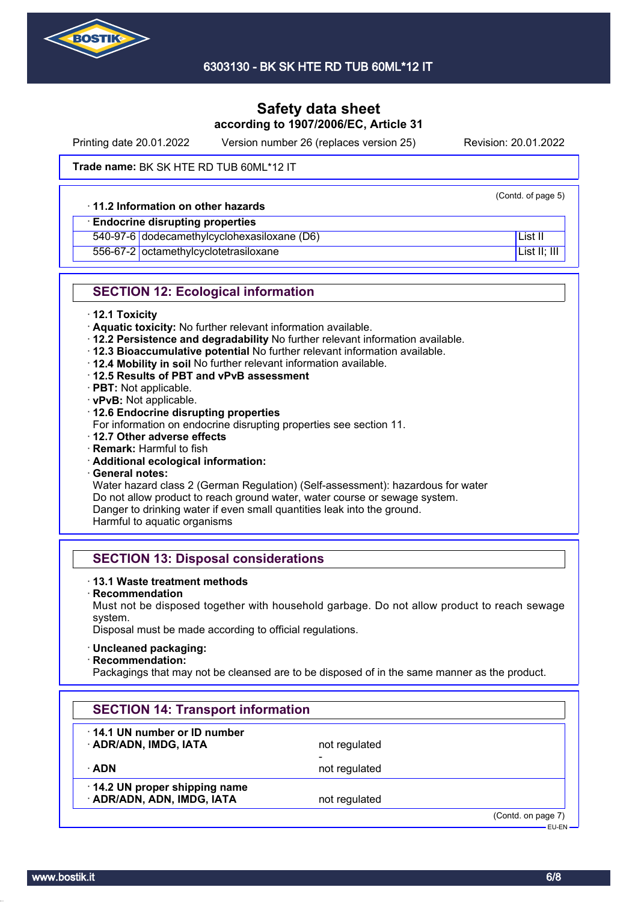

Printing date 20.01.2022 Version number 26 (replaces version 25) Revision: 20.01.2022

(Contd. of page 5)

**Trade name: BK SK HTE RD TUB 60ML\*12 IT** 

#### · **11.2 Information on other hazards**

## · **Endocrine disrupting properties**

540-97-6 dodecamethylcyclohexasiloxane (D6) List II

556-67-2 octamethylcyclotetrasiloxane List II; III List II; III

# **SECTION 12: Ecological information**

- · **12.1 Toxicity**
- · **Aquatic toxicity:** No further relevant information available.
- · **12.2 Persistence and degradability** No further relevant information available.
- · **12.3 Bioaccumulative potential** No further relevant information available.
- · **12.4 Mobility in soil** No further relevant information available.
- · **12.5 Results of PBT and vPvB assessment**
- · **PBT:** Not applicable.
- · **vPvB:** Not applicable.
- · **12.6 Endocrine disrupting properties**
- For information on endocrine disrupting properties see section 11.
- · **12.7 Other adverse effects**
- · **Remark:** Harmful to fish
- · **Additional ecological information:**
- · **General notes:**

Water hazard class 2 (German Regulation) (Self-assessment): hazardous for water Do not allow product to reach ground water, water course or sewage system. Danger to drinking water if even small quantities leak into the ground.

Harmful to aquatic organisms

# **SECTION 13: Disposal considerations**

## · **13.1 Waste treatment methods**

- · **Recommendation**
- Must not be disposed together with household garbage. Do not allow product to reach sewage system.

Disposal must be made according to official regulations.

· **Uncleaned packaging:**

· **Recommendation:**

Packagings that may not be cleansed are to be disposed of in the same manner as the product.

| <b>SECTION 14: Transport information</b>                   |               |                                     |
|------------------------------------------------------------|---------------|-------------------------------------|
| 14.1 UN number or ID number<br>· ADR/ADN, IMDG, IATA       | not regulated |                                     |
| ∙ ADN                                                      | not regulated |                                     |
| 14.2 UN proper shipping name<br>· ADR/ADN, ADN, IMDG, IATA | not regulated |                                     |
|                                                            |               | (Contd. on page 7)<br>$-$ FH-FN $-$ |

www.bostik.it 6/8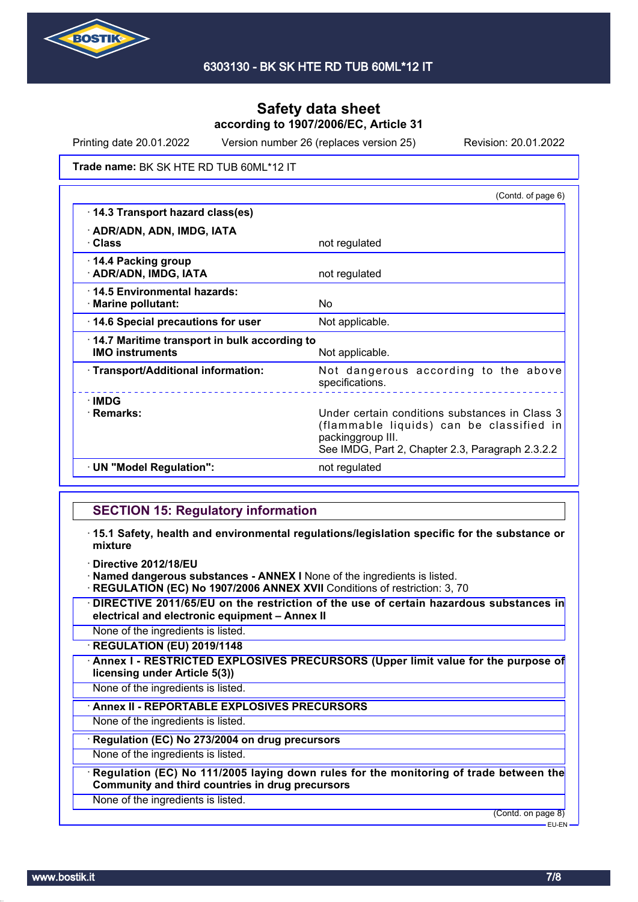

Printing date 20.01.2022 Version number 26 (replaces version 25) Revision: 20.01.2022

**Trade name: BK SK HTE RD TUB 60ML\*12 IT** 

|                                                                        | (Contd. of page 6)                                                                                                                                                  |
|------------------------------------------------------------------------|---------------------------------------------------------------------------------------------------------------------------------------------------------------------|
| 14.3 Transport hazard class(es)                                        |                                                                                                                                                                     |
| · ADR/ADN, ADN, IMDG, IATA<br>· Class                                  | not regulated                                                                                                                                                       |
| 14.4 Packing group<br>· ADR/ADN, IMDG, IATA                            | not regulated                                                                                                                                                       |
| 14.5 Environmental hazards:<br>· Marine pollutant:                     | No                                                                                                                                                                  |
| 14.6 Special precautions for user                                      | Not applicable.                                                                                                                                                     |
| 14.7 Maritime transport in bulk according to<br><b>IMO instruments</b> | Not applicable.                                                                                                                                                     |
| · Transport/Additional information:                                    | Not dangerous according to the above<br>specifications.<br><u>.</u>                                                                                                 |
| <b>∴IMDG</b><br>· Remarks:                                             | Under certain conditions substances in Class 3<br>(flammable liquids) can be classified in<br>packinggroup III.<br>See IMDG, Part 2, Chapter 2.3, Paragraph 2.3.2.2 |
| · UN "Model Regulation":                                               | not regulated                                                                                                                                                       |

# **SECTION 15: Regulatory information**

- · **15.1 Safety, health and environmental regulations/legislation specific for the substance or mixture**
- · **Directive 2012/18/EU**

· **Named dangerous substances - ANNEX I** None of the ingredients is listed.

- · **REGULATION (EC) No 1907/2006 ANNEX XVII** Conditions of restriction: 3, 70
- · **DIRECTIVE 2011/65/EU on the restriction of the use of certain hazardous substances in electrical and electronic equipment – Annex II**

None of the ingredients is listed.

· **REGULATION (EU) 2019/1148**

· **Annex I - RESTRICTED EXPLOSIVES PRECURSORS (Upper limit value for the purpose of licensing under Article 5(3))**

None of the ingredients is listed.

· **Annex II - REPORTABLE EXPLOSIVES PRECURSORS**

None of the ingredients is listed.

· **Regulation (EC) No 273/2004 on drug precursors**

None of the ingredients is listed.

· **Regulation (EC) No 111/2005 laying down rules for the monitoring of trade between the Community and third countries in drug precursors**

None of the ingredients is listed.

(Contd. on page 8) EU-EN